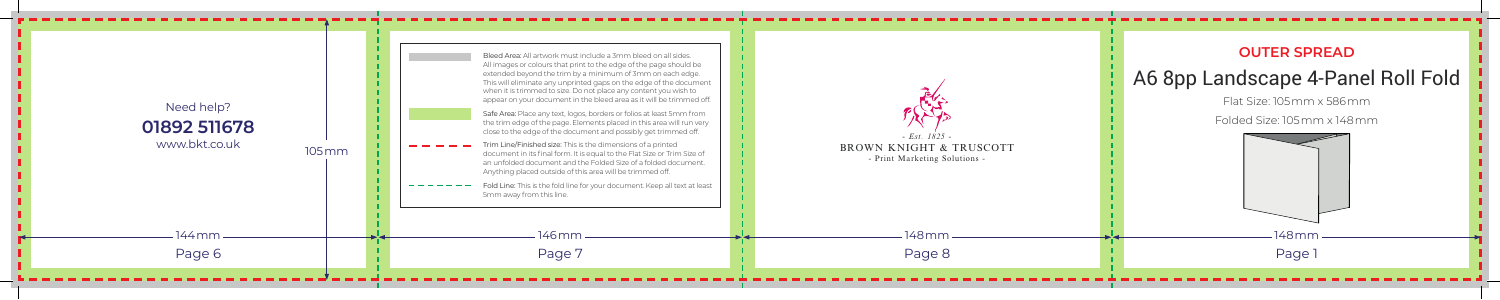